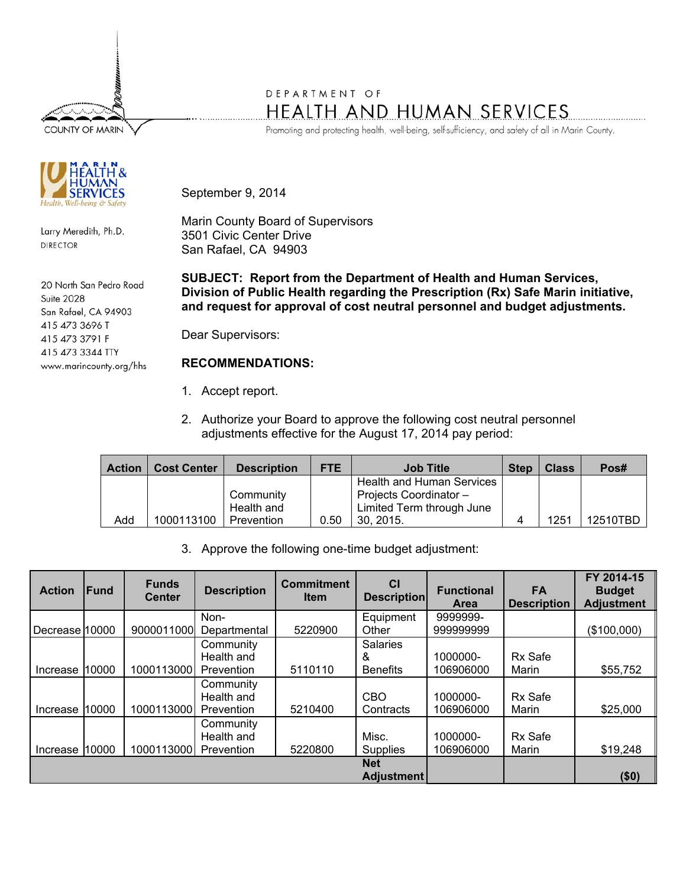**COUNTY OF MARIN** 



Larry Meredith, Ph.D. **DIRECTOR** 

20 North San Pedro Road **Suite 2028** San Rafael, CA 94903 415 473 3696 T 415 473 3791 F 415 473 3344 TTY www.marincounty.org/hhs

## DEPARTMENT OF HEALTH AND HUMAN SERVICES

Promoting and protecting health, well-being, self-sufficiency, and safety of all in Marin County.

September 9, 2014

Marin County Board of Supervisors 3501 Civic Center Drive San Rafael, CA 94903

**SUBJECT: Report from the Department of Health and Human Services, Division of Public Health regarding the Prescription (Rx) Safe Marin initiative, and request for approval of cost neutral personnel and budget adjustments.** 

Dear Supervisors:

## **RECOMMENDATIONS:**

- 1. Accept report.
- 2. Authorize your Board to approve the following cost neutral personnel adjustments effective for the August 17, 2014 pay period:

| <b>Action</b> | <b>Cost Center</b> | <b>Description</b> | <b>FTE</b> | <b>Job Title</b>                 | <b>Step</b> | <b>Class</b> | Pos#     |
|---------------|--------------------|--------------------|------------|----------------------------------|-------------|--------------|----------|
|               |                    |                    |            | <b>Health and Human Services</b> |             |              |          |
|               |                    | Community          |            | Projects Coordinator-            |             |              |          |
|               |                    | Health and         |            | Limited Term through June        |             |              |          |
| Add           | 1000113100         | Prevention         | 0.50       | 30, 2015.                        |             | 1251         | 12510TBD |

3. Approve the following one-time budget adjustment:

| <b>Action</b>  | <b>IFund</b> | <b>Funds</b><br><b>Center</b> | <b>Description</b> | <b>Commitment</b><br><b>Item</b> | <b>CI</b><br><b>Description</b> | <b>Functional</b><br><b>Area</b> | <b>FA</b><br><b>Description</b> | FY 2014-15<br><b>Budget</b><br><b>Adjustment</b> |
|----------------|--------------|-------------------------------|--------------------|----------------------------------|---------------------------------|----------------------------------|---------------------------------|--------------------------------------------------|
|                |              |                               | Non-               |                                  | Equipment                       | 9999999-                         |                                 |                                                  |
| Decrease 10000 |              | 9000011000                    | Departmental       | 5220900                          | Other                           | 999999999                        |                                 | (\$100,000)                                      |
|                |              |                               | Community          |                                  | <b>Salaries</b>                 |                                  |                                 |                                                  |
|                |              |                               | Health and         |                                  | &                               | 1000000-                         | Rx Safe                         |                                                  |
| Increase       | 10000        | 1000113000                    | Prevention         | 5110110                          | <b>Benefits</b>                 | 106906000                        | Marin                           | \$55,752                                         |
|                |              |                               | Community          |                                  |                                 |                                  |                                 |                                                  |
|                |              |                               | Health and         |                                  | CBO                             | 1000000-                         | Rx Safe                         |                                                  |
| Increase       | 10000        | 1000113000                    | Prevention         | 5210400                          | Contracts                       | 106906000                        | Marin                           | \$25,000                                         |
|                |              |                               | Community          |                                  |                                 |                                  |                                 |                                                  |
|                |              |                               | Health and         |                                  | Misc.                           | 1000000-                         | Rx Safe                         |                                                  |
| Increase       | 10000        | 1000113000                    | Prevention         | 5220800                          | <b>Supplies</b>                 | 106906000                        | Marin                           | \$19,248                                         |
|                |              |                               |                    |                                  | <b>Net</b>                      |                                  |                                 |                                                  |
|                |              |                               |                    |                                  | <b>Adjustment</b>               |                                  |                                 | (50)                                             |